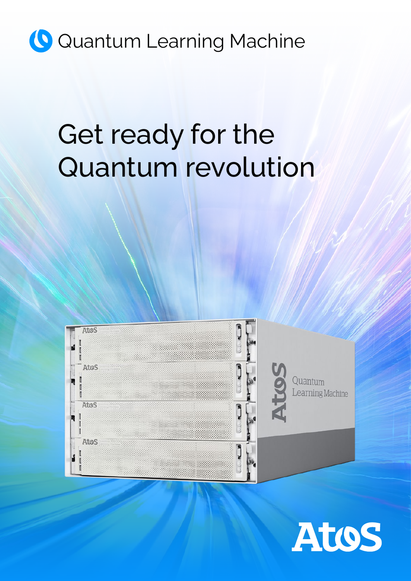## **Q** Quantum Learning Machine

# Get ready for the Quantum revolution



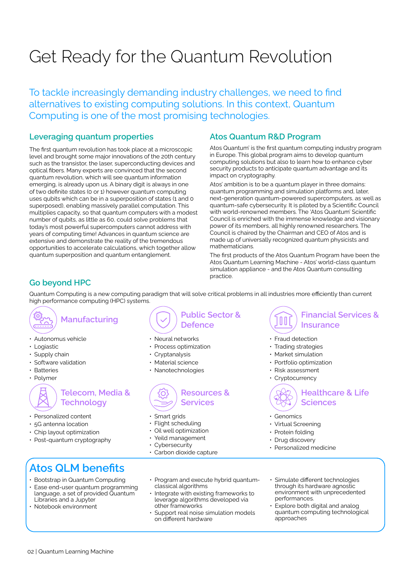### Get Ready for the Quantum Revolution

To tackle increasingly demanding industry challenges, we need to find alternatives to existing computing solutions. In this context, Quantum Computing is one of the most promising technologies.

### **Leveraging quantum properties**

The first quantum revolution has took place at a microscopic level and brought some major innovations of the 20th century such as the transistor, the laser, superconducting devices and optical fibers. Many experts are convinced that the second quantum revolution, which will see quantum information emerging, is already upon us. A binary digit is always in one of two definite states (0 or 1) however quantum computing uses qubits which can be in a superposition of states (1 and 0 superposed), enabling massively parallel computation. This multiplies capacity, so that quantum computers with a modest number of qubits, as little as 60, could solve problems that today's most powerful supercomputers cannot address with years of computing time! Advances in quantum science are extensive and demonstrate the reality of the tremendous opportunities to accelerate calculations, which together allow quantum superposition and quantum entanglement.

### **Atos Quantum R&D Program**

Atos Quantum' is the first quantum computing industry program in Europe. This global program aims to develop quantum computing solutions but also to learn how to enhance cyber security products to anticipate quantum advantage and its impact on cryptography.

Atos' ambition is to be a quantum player in three domains: quantum programming and simulation platforms and, later, next-generation quantum-powered supercomputers, as well as quantum-safe cybersecurity. It is piloted by a Scientific Council with world-renowned members. The 'Atos Quantum' Scientific Council is enriched with the immense knowledge and visionary power of its members, all highly renowned researchers. The Council is chaired by the Chairman and CEO of Atos and is made up of universally recognized quantum physicists and mathematicians.

The first products of the Atos Quantum Program have been the Atos Quantum Learning Machine - Atos' world-class quantum simulation appliance - and the Atos Quantum consulting practice.

### **Go beyond HPC**

Quantum Computing is a new computing paradigm that will solve critical problems in all industries more efficiently than current high performance computing (HPC) systems.

### **Manufacturing**

- Autonomus vehicle
- Logiastic
- Supply chain
- Software validation
- Batteries
- Polymer

### **Telecom, Media & Technology**

- Personalized content
- 5G antenna location
- Chip layout optimization
- Post-quantum cryptography

**Public Sector & Defence**

- Neural networks
- Process optimization
- Cryptanalysis
- Material science
- Nanotechnologies



- Smart grids
- Flight scheduling
- Oil well optimization
- Yeild management
- Cybersecurity
- Carbon dioxide capture

#### **Financial Services &**  00 **Insurance**

- Fraud detection
- Trading strategies
- Market simulation
- Portfolio optimization
- Risk assessment
- **Cryptocurrency**



**Healthcare & Life Sciences**

- **Genomics**
- Virtual Screening
- Protein folding
- Drug discovery
- Personalized medicine

- **Atos QLM benefits**
- Bootstrap in Quantum Computing
- Ease end-user quantum programming language, a set of provided Quantum Libraries and a Jupyter
- Notebook environment
- Program and execute hybrid quantumclassical algorithms
- Integrate with existing frameworks to leverage algorithms developed via other frameworks
- Support real noise simulation models on different hardware
- Simulate different technologies through its hardware agnostic environment with unprecedented performances.
- Explore both digital and analog quantum computing technological approaches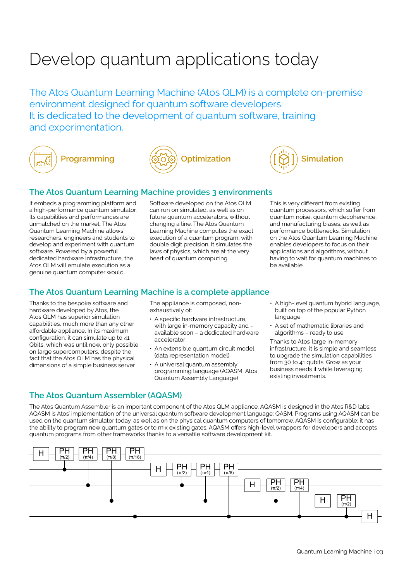### Develop quantum applications today

The Atos Quantum Learning Machine (Atos QLM) is a complete on-premise environment designed for quantum software developers. It is dedicated to the development of quantum software, training and experimentation.









#### **The Atos Quantum Learning Machine provides 3 environments**

It embeds a programming platform and a high-performance quantum simulator. Its capabilities and performances are unmatched on the market. The Atos Quantum Learning Machine allows researchers, engineers and students to develop and experiment with quantum software. Powered by a powerful dedicated hardware infrastructure, the Atos QLM will emulate execution as a genuine quantum computer would.

Software developed on the Atos QLM can run on simulated, as well as on future quantum accelerators, without changing a line. The Atos Quantum Learning Machine computes the exact execution of a quantum program, with double digit precision. It simulates the laws of physics, which are at the very heart of quantum computing.

This is very different from existing quantum processors, which suffer from quantum noise, quantum decoherence, and manufacturing biases, as well as performance bottlenecks. Simulation on the Atos Quantum Learning Machine enables developers to focus on their applications and algorithms, without having to wait for quantum machines to be available.

### **The Atos Quantum Learning Machine is a complete appliance**

Thanks to the bespoke software and hardware developed by Atos, the Atos QLM has superior simulation capabilities, much more than any other affordable appliance. In its maximum configuration, it can simulate up to 41 Qbits, which was until now, only possible on large supercomputers, despite the fact that the Atos QLM has the physical dimensions of a simple business server.

The appliance is composed, nonexhaustively of:

- A specific hardware infrastructure, with large in-memory capacity and – available soon – a dedicated hardware accelerator
- An extensible quantum circuit model (data representation model)
- A universal quantum assembly programming language (AQASM, Atos Quantum Assembly Language)
- A high-level quantum hybrid language, built on top of the popular Python language
- A set of mathematic libraries and algorithms – ready to use

Thanks to Atos' large in-memory infrastructure, it is simple and seamless to upgrade the simulation capabilities from 30 to 41 qubits. Grow as your business needs it while leveraging existing investments.

### **The Atos Quantum Assembler (AQASM)**

The Atos Quantum Assembler is an important component of the Atos QLM appliance. AQASM is designed in the Atos R&D labs. AQASM is Atos' implementation of the universal quantum software development language: QASM. Programs using AQASM can be used on the quantum simulator today, as well as on the physical quantum computers of tomorrow. AQASM is configurable; it has the ability to program new quantum gates or to mix existing gates. AQASM offers high-level wrappers for developers and accepts quantum programs from other frameworks thanks to a versatile software development kit.

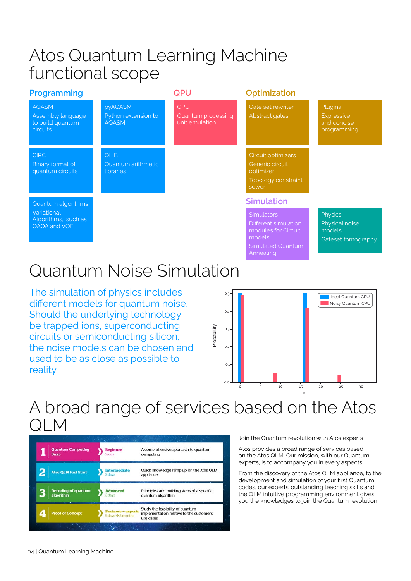### Atos Quantum Learning Machine functional scope

| Programming                                                              |                                                       | <b>QPU</b>                                  | Optimization                                                                                                        |                                                            |
|--------------------------------------------------------------------------|-------------------------------------------------------|---------------------------------------------|---------------------------------------------------------------------------------------------------------------------|------------------------------------------------------------|
| <b>AQASM</b><br>Assembly language<br>to build quantum<br><b>circuits</b> | <b>pyAQASM</b><br>Python extension to<br><b>AQASM</b> | QPU<br>Quantum processing<br>unit emulation | Gate set rewriter<br>Abstract gates                                                                                 | Plugins<br><b>Expressive</b><br>and concise<br>programming |
| <b>CIRC</b><br>Binary format of<br>quantum circuits                      | <b>QLIB</b><br>Quantum arithmetic<br><b>libraries</b> |                                             | Circuit optimizers<br>Generic circuit<br>optimizer<br>Topology constraint<br>solver                                 |                                                            |
| Quantum algorithms                                                       |                                                       |                                             | <b>Simulation</b>                                                                                                   |                                                            |
| Variational<br>Algorithms,, such as<br>QAOA and VQE                      |                                                       |                                             | <b>Simulators</b><br>Different simulation<br>modules for Circuit<br>models<br><b>Simulated Quantum</b><br>Annealing | Physics<br>Physical noise<br>models<br>Gateset tomography  |

### Quantum Noise Simulation

The simulation of physics includes different models for quantum noise. Should the underlying technology be trapped ions, superconducting circuits or semiconducting silicon, the noise models can be chosen and used to be as close as possible to reality.



### A broad range of services based on the Atos QLM

| <b>Quantum Computing</b><br><b>Basis</b> | <b>Beginner</b><br>% day                                                   | A comprehensive approach to quantum<br>computing                                           |
|------------------------------------------|----------------------------------------------------------------------------|--------------------------------------------------------------------------------------------|
| <b>Atos QLM Fast Start</b>               | <b>Intermediate</b><br>2 days                                              | Quick knowledge ramp-up on the Atos QLM<br>appliance                                       |
| <b>Decoding of quantum</b><br>algorithm  | <b>Advanced</b><br>2 days                                                  | Principles and building steps of a specific<br>quantum algorithm                           |
| <b>Proof of Concept</b>                  | <b>Business + experts</b><br>$5 \text{ days} \rightarrow 8 \text{ months}$ | Study the feasibility of quantum<br>implementation relative to the customer's<br>use cases |

Join the Quantum revolution with Atos experts

Atos provides a broad range of services based on the Atos QLM. Our mission, with our Quantum experts, is to accompany you in every aspects.

From the discovery of the Atos QLM appliance, to the development and simulation of your first Quantum codes, our experts' outstanding teaching skills and the QLM intuitive programming environment gives you the knowledges to join the Quantum revolution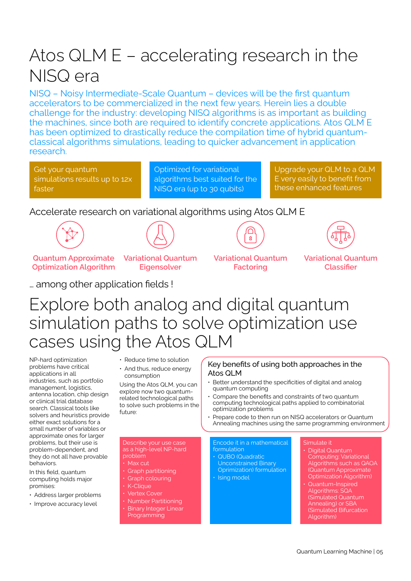### Atos QLM E – accelerating research in the NISQ era

NISQ – Noisy Intermediate-Scale Quantum – devices will be the first quantum accelerators to be commercialized in the next few years. Herein lies a double challenge for the industry: developing NISQ algorithms is as important as building the machines, since both are required to identify concrete applications. Atos QLM E has been optimized to drastically reduce the compilation time of hybrid quantumclassical algorithms simulations, leading to quicker advancement in application research.

Get your quantum simulations results up to 12x faster

Optimized for variational algorithms best suited for the NISQ era (up to 30 qubits)

Upgrade your QLM to a QLM E very easily to benefit from these enhanced features

### Accelerate research on variational algorithms using Atos QLM E





 $\bar{\mathbf{g}}$ 



**Quantum Approximate Optimization Algorithm** **Variational Quantum Eigensolver**





… among other application fields !

### Explore both analog and digital quantum simulation paths to solve optimization use cases using the Atos QLM

NP-hard optimization problems have critical applications in all industries, such as portfolio management, logistics, antenna location, chip design or clinical trial database search. Classical tools like solvers and heuristics provide either exact solutions for a small number of variables or approximate ones for larger problems, but their use is problem-dependent, and they do not all have provable behaviors.

In this field, quantum computing holds major promises:

- Address larger problems
- Improve accuracy level
- Reduce time to solution
- And thus, reduce energy consumption

Using the Atos QLM, you can explore now two quantumrelated technological paths to solve such problems in the future:

Describe your use case as a high-level NP-hard

• Graph partitioning • Graph colouring • K-Clique

• Number Partitioning • Binary Integer Linear Programming

problem

#### Key benefits of using both approaches in the Atos QLM

- Better understand the specificities of digital and analog quantum computing
- Compare the benefits and constraints of two quantum computing technological paths applied to combinatorial optimization problems
- Prepare code to then run on NISQ accelerators or Quantum Annealing machines using the same programming environment

Encode it in a mathematical formulation

• QUBO (Quadratic Unconstrained Binary Oprimization) formulation • Ising model

### Simulate it

- Digital Quantum Computing: Variational Algorithms such as QAOA (Quantum Approximate Optimization Algorithm)
- Quantum-Inspired Algorithms: SQA (Simulated Quantum Annealing) or SBA (Simulated Bifurcation Algorithm)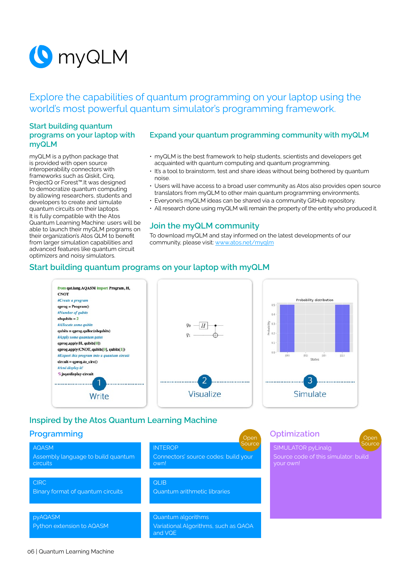

Explore the capabilities of quantum programming on your laptop using the world's most powerful quantum simulator's programming framework.

#### **Start building quantum programs on your laptop with myQLM**

myQLM is a python package that is provided with open source interoperability connectors with frameworks such as Qiskit, Cirq, ProjectQ or Forest™.It was designed to democratize quantum computing by allowing researchers, students and developers to create and simulate quantum circuits on their laptops. It is fully compatible with the Atos Quantum Learning Machine: users will be able to launch their myQLM programs on their organization's Atos QLM to benefit from larger simulation capabilities and advanced features like quantum circuit optimizers and noisy simulators.

#### **Expand your quantum programming community with myQLM**

- myQLM is the best framework to help students, scientists and developers get acquainted with quantum computing and quantum programming.
- It's a tool to brainstorm, test and share ideas without being bothered by quantum noise.
- Users will have access to a broad user community as Atos also provides open source translators from myQLM to other main quantum programming environments.
- Everyone's myQLM ideas can be shared via a community GitHub repository.
- All research done using myQLM will remain the property of the entity who produced it.

#### **Join the myQLM community**

To download myQLM and stay informed on the latest developments of our community, please visit: [www.atos.net/myqlm](https://atos.net/en/lp/myqlm)

#### **Start building quantum programs on your laptop with myQLM**



### **Inspired by the Atos Quantum Learning Machine**

#### **Programming**

AQASM

circuits

Assembly language to build quantum INTEROP Connectors' source codes: build your own! Open **Source** 

**CIRC** Binary format of quantum circuits

pyAQASM

Python extension to AQASM

QLIB Quantum arithmetic libraries

Quantum algorithms Variational Algorithms, such as QAOA and VQE

| <b>Optimization</b><br>Open                                                 |  |
|-----------------------------------------------------------------------------|--|
| Source<br><b>SIMULATOR pyLinalg</b><br>Source code of this simulator: build |  |
| your own!                                                                   |  |
|                                                                             |  |
|                                                                             |  |
|                                                                             |  |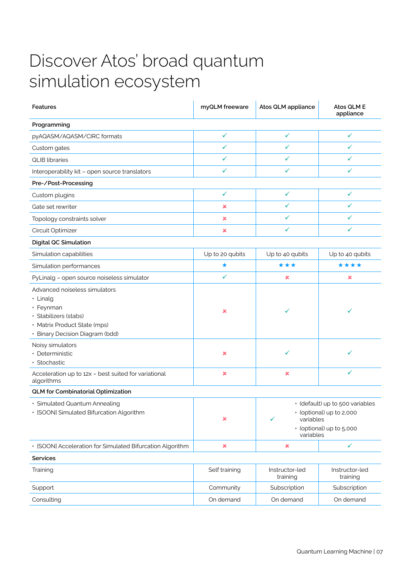### Discover Atos' broad quantum simulation ecosystem

| <b>Features</b>                                                                                                                                    | myQLM freeware            | Atos QLM appliance                                                                                                     | Atos QLM E<br>appliance    |
|----------------------------------------------------------------------------------------------------------------------------------------------------|---------------------------|------------------------------------------------------------------------------------------------------------------------|----------------------------|
| Programming                                                                                                                                        |                           |                                                                                                                        |                            |
| pyAQASM/AQASM/CIRC formats                                                                                                                         | $\checkmark$              | ✓                                                                                                                      | ✓                          |
| Custom gates                                                                                                                                       | ✓                         | ✓                                                                                                                      | ✓                          |
| <b>QLIB</b> libraries                                                                                                                              | $\checkmark$              | $\checkmark$                                                                                                           | ✓                          |
| Interoperability kit - open source translators                                                                                                     | ✓                         | ✓                                                                                                                      | ✓                          |
| Pre-/Post-Processing                                                                                                                               |                           |                                                                                                                        |                            |
| Custom plugins                                                                                                                                     | $\checkmark$              | $\checkmark$                                                                                                           | ✓                          |
| Gate set rewriter                                                                                                                                  | $\pmb{\times}$            | $\checkmark$                                                                                                           | $\checkmark$               |
| Topology constraints solver                                                                                                                        | ×                         | ✓                                                                                                                      | ✓                          |
| Circuit Optimizer                                                                                                                                  | ×                         | $\checkmark$                                                                                                           | $\checkmark$               |
| <b>Digital QC Simulation</b>                                                                                                                       |                           |                                                                                                                        |                            |
| Simulation capabilities                                                                                                                            | Up to 20 qubits           | Up to 40 qubits                                                                                                        | Up to 40 qubits            |
| Simulation performances                                                                                                                            | $\star$                   | ***                                                                                                                    | ****                       |
| PyLinalg - open source noiseless simulator                                                                                                         | $\checkmark$              | ×                                                                                                                      | ×                          |
| Advanced noiseless simulators<br>· Linalg<br>• Feynman<br>· Stabilizers (stabs)<br>· Matrix Product State (mps)<br>· Binary Decision Diagram (bdd) | ×                         | ✓                                                                                                                      | ✓                          |
| Noisy simulators<br>· Deterministic<br>· Stochastic                                                                                                | ×                         | ✓                                                                                                                      |                            |
| Acceleration up to 12x - best suited for variational<br>algorithms                                                                                 | $\boldsymbol{\mathsf{x}}$ | ×                                                                                                                      | ✓                          |
| QLM for Combinatorial Optimization                                                                                                                 |                           |                                                                                                                        |                            |
| · Simulated Quantum Annealing<br>· [SOON] Simulated Bifurcation Algorithm                                                                          | ×                         | · (default) up to 500 variables<br>• (optional) up to 2,000<br>variables<br>✓<br>• (optional) up to 5,000<br>variables |                            |
| · [SOON] Acceleration for Simulated Bifurcation Algorithm                                                                                          | $\pmb{\times}$            | ×                                                                                                                      | $\checkmark$               |
| <b>Services</b>                                                                                                                                    |                           |                                                                                                                        |                            |
| Training                                                                                                                                           | Self training             | Instructor-led<br>training                                                                                             | Instructor-led<br>training |
| Support                                                                                                                                            | Community                 | Subscription                                                                                                           | Subscription               |
| Consulting                                                                                                                                         | On demand                 | On demand                                                                                                              | On demand                  |